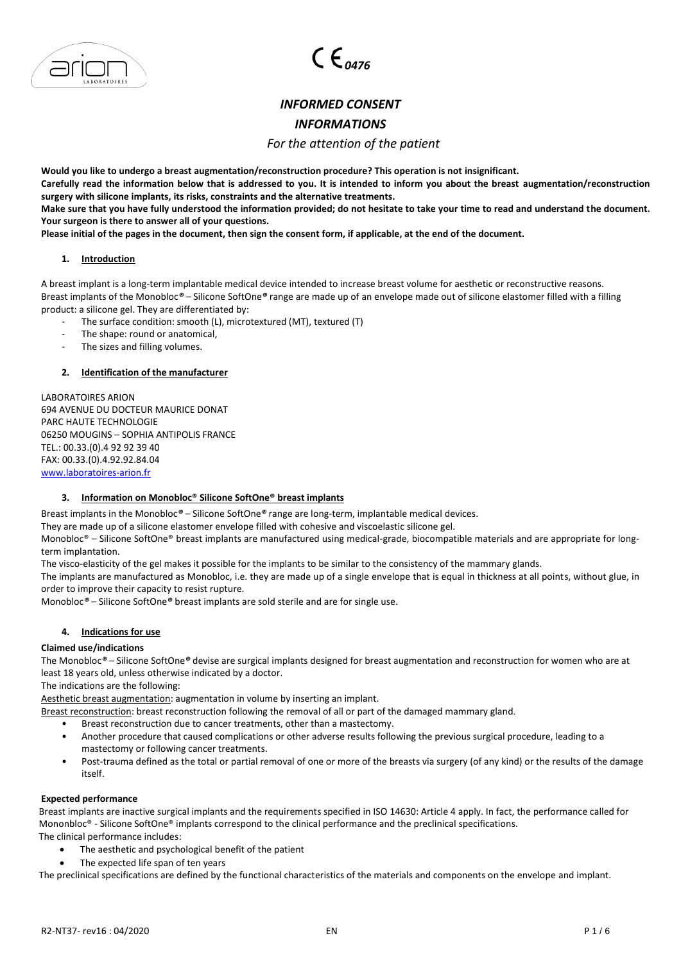



# *INFORMED CONSENT*

# *INFORMATIONS*

*For the attention of the patient*

**Would you like to undergo a breast augmentation/reconstruction procedure? This operation is not insignificant.**

**Carefully read the information below that is addressed to you. It is intended to inform you about the breast augmentation/reconstruction surgery with silicone implants, its risks, constraints and the alternative treatments.**

**Make sure that you have fully understood the information provided; do not hesitate to take your time to read and understand the document. Your surgeon is there to answer all of your questions.**

**Please initial of the pages in the document, then sign the consent form, if applicable, at the end of the document.**

#### **1. Introduction**

A breast implant is a long-term implantable medical device intended to increase breast volume for aesthetic or reconstructive reasons. Breast implants of the Monobloc*®* – Silicone SoftOne*®* range are made up of an envelope made out of silicone elastomer filled with a filling product: a silicone gel. They are differentiated by:

The surface condition: smooth (L), microtextured (MT), textured (T)

- The shape: round or anatomical.
- The sizes and filling volumes.

## **2. Identification of the manufacturer**

LABORATOIRES ARION 694 AVENUE DU DOCTEUR MAURICE DONAT PARC HAUTE TECHNOLOGIE 06250 MOUGINS – SOPHIA ANTIPOLIS FRANCE TEL.: 00.33.(0).4 92 92 39 40 FAX: 00.33.(0).4.92.92.84.04 [www.laboratoires-arion.fr](http://www.laboratoires-arion.fr/)

# **3. Information on Monobloc® Silicone SoftOne® breast implants**

Breast implants in the Monobloc*®* – Silicone SoftOne*®* range are long-term, implantable medical devices.

They are made up of a silicone elastomer envelope filled with cohesive and viscoelastic silicone gel.

Monobloc® – Silicone SoftOne® breast implants are manufactured using medical-grade, biocompatible materials and are appropriate for longterm implantation.

The visco-elasticity of the gel makes it possible for the implants to be similar to the consistency of the mammary glands.

The implants are manufactured as Monobloc, i.e. they are made up of a single envelope that is equal in thickness at all points, without glue, in order to improve their capacity to resist rupture.

Monobloc*®* – Silicone SoftOne*®* breast implants are sold sterile and are for single use.

# **4. Indications for use**

## **Claimed use/indications**

The Monobloc*®* – Silicone SoftOne*®* devise are surgical implants designed for breast augmentation and reconstruction for women who are at least 18 years old, unless otherwise indicated by a doctor.

The indications are the following:

Aesthetic breast augmentation: augmentation in volume by inserting an implant.

Breast reconstruction: breast reconstruction following the removal of all or part of the damaged mammary gland.

- Breast reconstruction due to cancer treatments, other than a mastectomy.
- Another procedure that caused complications or other adverse results following the previous surgical procedure, leading to a mastectomy or following cancer treatments.
- Post-trauma defined as the total or partial removal of one or more of the breasts via surgery (of any kind) or the results of the damage itself.

#### **Expected performance**

Breast implants are inactive surgical implants and the requirements specified in ISO 14630: Article 4 apply. In fact, the performance called for Mononbloc® - Silicone SoftOne® implants correspond to the clinical performance and the preclinical specifications. The clinical performance includes:

- The aesthetic and psychological benefit of the patient
- The expected life span of ten years

The preclinical specifications are defined by the functional characteristics of the materials and components on the envelope and implant.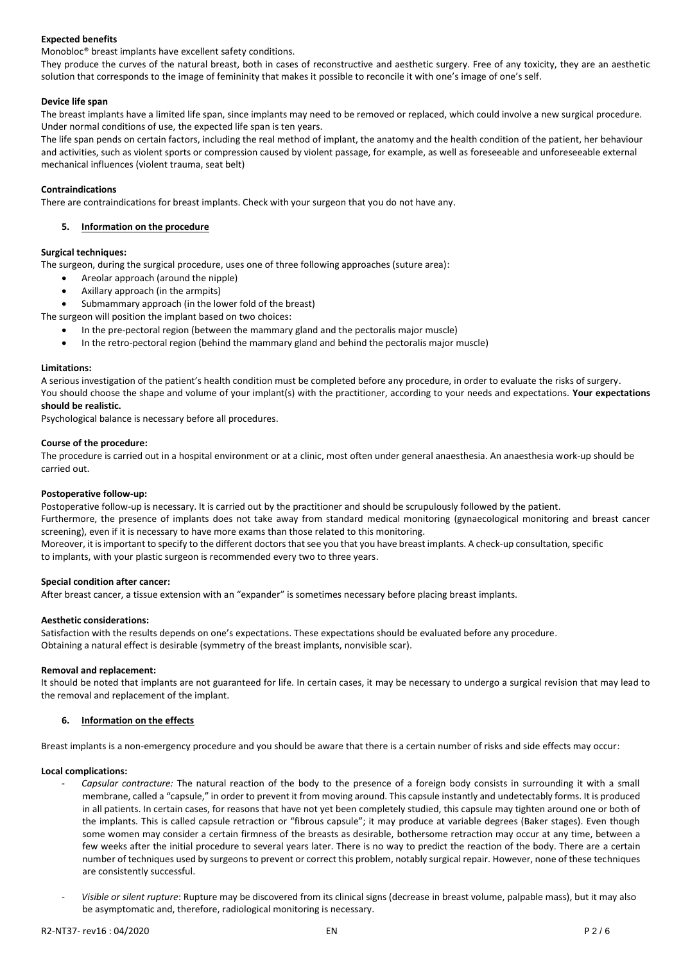# **Expected benefits**

Monobloc® breast implants have excellent safety conditions.

They produce the curves of the natural breast, both in cases of reconstructive and aesthetic surgery. Free of any toxicity, they are an aesthetic solution that corresponds to the image of femininity that makes it possible to reconcile it with one's image of one's self.

#### **Device life span**

The breast implants have a limited life span, since implants may need to be removed or replaced, which could involve a new surgical procedure. Under normal conditions of use, the expected life span is ten years.

The life span pends on certain factors, including the real method of implant, the anatomy and the health condition of the patient, her behaviour and activities, such as violent sports or compression caused by violent passage, for example, as well as foreseeable and unforeseeable external mechanical influences (violent trauma, seat belt)

## **Contraindications**

There are contraindications for breast implants. Check with your surgeon that you do not have any.

#### **5. Information on the procedure**

#### **Surgical techniques:**

The surgeon, during the surgical procedure, uses one of three following approaches (suture area):

- Areolar approach (around the nipple)
- Axillary approach (in the armpits)

Submammary approach (in the lower fold of the breast)

The surgeon will position the implant based on two choices:

- In the pre-pectoral region (between the mammary gland and the pectoralis major muscle)
- In the retro-pectoral region (behind the mammary gland and behind the pectoralis major muscle)

#### **Limitations:**

A serious investigation of the patient's health condition must be completed before any procedure, in order to evaluate the risks of surgery. You should choose the shape and volume of your implant(s) with the practitioner, according to your needs and expectations. **Your expectations should be realistic.**

Psychological balance is necessary before all procedures.

#### **Course of the procedure:**

The procedure is carried out in a hospital environment or at a clinic, most often under general anaesthesia. An anaesthesia work-up should be carried out.

#### **Postoperative follow-up:**

Postoperative follow-up is necessary. It is carried out by the practitioner and should be scrupulously followed by the patient. Furthermore, the presence of implants does not take away from standard medical monitoring (gynaecological monitoring and breast cancer screening), even if it is necessary to have more exams than those related to this monitoring. Moreover, it is important to specify to the different doctors that see you that you have breast implants. A check-up consultation, specific to implants, with your plastic surgeon is recommended every two to three years.

#### **Special condition after cancer:**

After breast cancer, a tissue extension with an "expander" is sometimes necessary before placing breast implants.

#### **Aesthetic considerations:**

Satisfaction with the results depends on one's expectations. These expectations should be evaluated before any procedure. Obtaining a natural effect is desirable (symmetry of the breast implants, nonvisible scar).

#### **Removal and replacement:**

It should be noted that implants are not guaranteed for life. In certain cases, it may be necessary to undergo a surgical revision that may lead to the removal and replacement of the implant.

## **6. Information on the effects**

Breast implants is a non-emergency procedure and you should be aware that there is a certain number of risks and side effects may occur:

#### **Local complications:**

- *Capsular contracture:* The natural reaction of the body to the presence of a foreign body consists in surrounding it with a small membrane, called a "capsule," in order to prevent it from moving around. This capsule instantly and undetectably forms. It is produced in all patients. In certain cases, for reasons that have not yet been completely studied, this capsule may tighten around one or both of the implants. This is called capsule retraction or "fibrous capsule"; it may produce at variable degrees (Baker stages). Even though some women may consider a certain firmness of the breasts as desirable, bothersome retraction may occur at any time, between a few weeks after the initial procedure to several years later. There is no way to predict the reaction of the body. There are a certain number of techniques used by surgeons to prevent or correct this problem, notably surgical repair. However, none of these techniques are consistently successful.
- *Visible or silent rupture*: Rupture may be discovered from its clinical signs (decrease in breast volume, palpable mass), but it may also be asymptomatic and, therefore, radiological monitoring is necessary.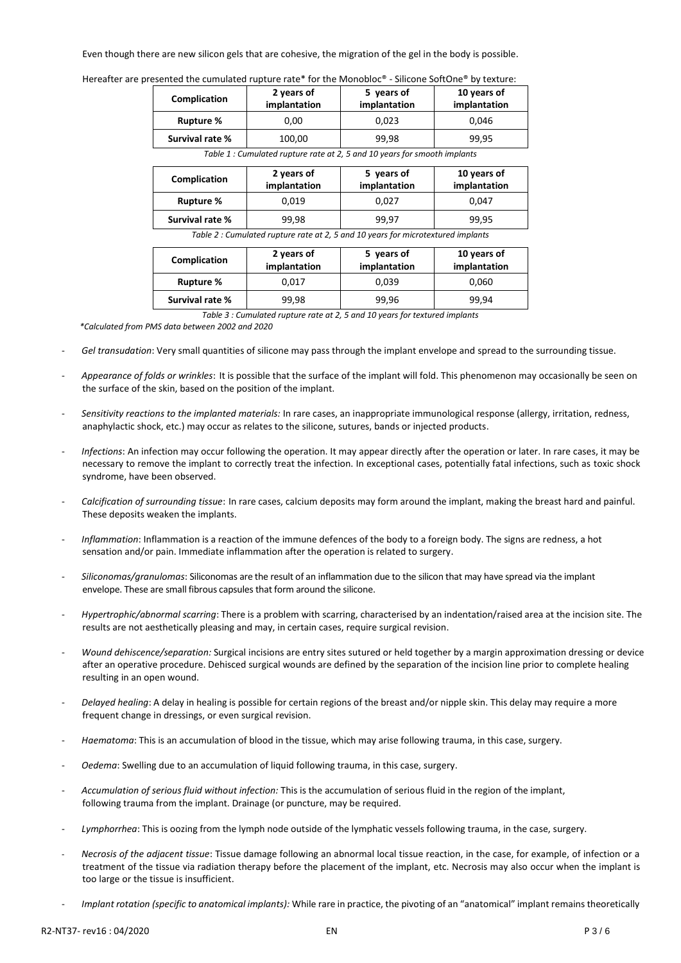#### Even though there are new silicon gels that are cohesive, the migration of the gel in the body is possible.

| Hereafter are presented the cumulated rupture rate* for the Monobloc® - Silicone SoftOne® by texture: |
|-------------------------------------------------------------------------------------------------------|
|-------------------------------------------------------------------------------------------------------|

| Complication    | 2 years of<br>implantation | 5 years of<br>implantation | 10 years of<br>implantation |
|-----------------|----------------------------|----------------------------|-----------------------------|
| Rupture %       | 0.00                       | 0.023                      | 0.046                       |
| Survival rate % | 100,00                     | 99,98                      | 99,95                       |

*Table 1 : Cumulated rupture rate at 2, 5 and 10 years for smooth implants*

| Complication     | 2 years of<br>implantation | 5 years of<br>implantation | 10 years of<br>implantation |
|------------------|----------------------------|----------------------------|-----------------------------|
| <b>Rupture %</b> | 0.019                      | 0.027                      | 0.047                       |
| Survival rate %  | 99.98                      | 99.97                      | 99.95                       |
|                  |                            |                            |                             |

*Table 2 : Cumulated rupture rate at 2, 5 and 10 years for microtextured implants*

| Complication     | 2 years of<br>implantation | 5 years of<br>implantation | 10 years of<br>implantation |
|------------------|----------------------------|----------------------------|-----------------------------|
| <b>Rupture %</b> | 0.017                      | 0.039                      | 0.060                       |
| Survival rate %  | 99,98                      | 99,96                      | 99,94                       |

*Table 3 : Cumulated rupture rate at 2, 5 and 10 years for textured implants*

*\*Calculated from PMS data between 2002 and 2020*

- *Gel transudation*: Very small quantities of silicone may pass through the implant envelope and spread to the surrounding tissue.
- *Appearance of folds or wrinkles*: It is possible that the surface of the implant will fold. This phenomenon may occasionally be seen on the surface of the skin, based on the position of the implant.
- *Sensitivity reactions to the implanted materials:* In rare cases, an inappropriate immunological response (allergy, irritation, redness, anaphylactic shock, etc.) may occur as relates to the silicone, sutures, bands or injected products.
- *Infections*: An infection may occur following the operation. It may appear directly after the operation or later. In rare cases, it may be necessary to remove the implant to correctly treat the infection. In exceptional cases, potentially fatal infections, such as toxic shock syndrome, have been observed.
- *Calcification of surrounding tissue*: In rare cases, calcium deposits may form around the implant, making the breast hard and painful. These deposits weaken the implants.
- *Inflammation*: Inflammation is a reaction of the immune defences of the body to a foreign body. The signs are redness, a hot sensation and/or pain. Immediate inflammation after the operation is related to surgery.
- *Siliconomas/granulomas*: Siliconomas are the result of an inflammation due to the silicon that may have spread via the implant envelope. These are small fibrous capsules that form around the silicone.
- *Hypertrophic/abnormal scarring*: There is a problem with scarring, characterised by an indentation/raised area at the incision site. The results are not aesthetically pleasing and may, in certain cases, require surgical revision.
- *Wound dehiscence/separation:* Surgical incisions are entry sites sutured or held together by a margin approximation dressing or device after an operative procedure. Dehisced surgical wounds are defined by the separation of the incision line prior to complete healing resulting in an open wound.
- *Delayed healing*: A delay in healing is possible for certain regions of the breast and/or nipple skin. This delay may require a more frequent change in dressings, or even surgical revision.
- *Haematoma*: This is an accumulation of blood in the tissue, which may arise following trauma, in this case, surgery.
- *Oedema*: Swelling due to an accumulation of liquid following trauma, in this case, surgery.
- *Accumulation of serious fluid without infection:* This is the accumulation of serious fluid in the region of the implant, following trauma from the implant. Drainage (or puncture, may be required.
- Lymphorrhea: This is oozing from the lymph node outside of the lymphatic vessels following trauma, in the case, surgery.
- *Necrosis of the adjacent tissue*: Tissue damage following an abnormal local tissue reaction, in the case, for example, of infection or a treatment of the tissue via radiation therapy before the placement of the implant, etc. Necrosis may also occur when the implant is too large or the tissue is insufficient.
- *Implant rotation (specific to anatomical implants):* While rare in practice, the pivoting of an "anatomical" implant remains theoretically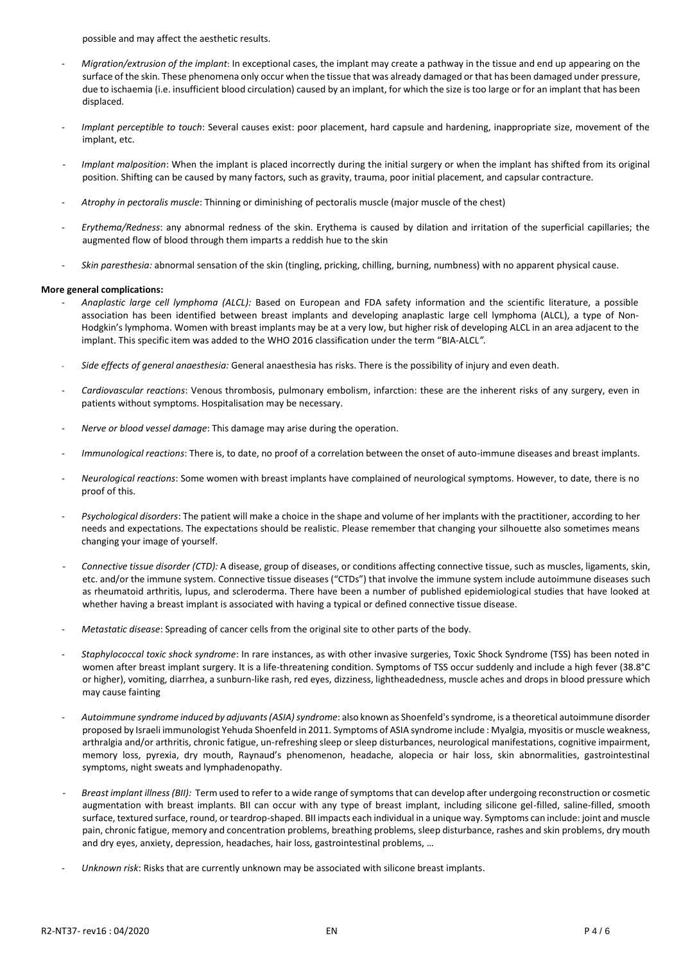possible and may affect the aesthetic results.

- *Migration/extrusion of the implant*: In exceptional cases, the implant may create a pathway in the tissue and end up appearing on the surface of the skin. These phenomena only occur when the tissue that was already damaged or that has been damaged under pressure, due to ischaemia (i.e. insufficient blood circulation) caused by an implant, for which the size is too large or for an implant that has been displaced.
- *Implant perceptible to touch*: Several causes exist: poor placement, hard capsule and hardening, inappropriate size, movement of the implant, etc.
- Implant malposition: When the implant is placed incorrectly during the initial surgery or when the implant has shifted from its original position. Shifting can be caused by many factors, such as gravity, trauma, poor initial placement, and capsular contracture.
- *Atrophy in pectoralis muscle*: Thinning or diminishing of pectoralis muscle (major muscle of the chest)
- *Erythema/Redness*: any abnormal redness of the skin. Erythema is caused by dilation and irritation of the superficial capillaries; the augmented flow of blood through them imparts a reddish hue to the skin
- *Skin paresthesia:* abnormal sensation of the skin (tingling, pricking, chilling, burning, numbness) with no apparent physical cause.

#### **More general complications:**

- *Anaplastic large cell lymphoma (ALCL):* Based on European and FDA safety information and the scientific literature, a possible association has been identified between breast implants and developing anaplastic large cell lymphoma (ALCL), a type of Non-Hodgkin's lymphoma. Women with breast implants may be at a very low, but higher risk of developing ALCL in an area adjacent to the implant. This specific item was added to the WHO 2016 classification under the term "BIA-ALCL*".*
- *Side effects of general anaesthesia:* General anaesthesia has risks. There is the possibility of injury and even death.
- *Cardiovascular reactions*: Venous thrombosis, pulmonary embolism, infarction: these are the inherent risks of any surgery, even in patients without symptoms. Hospitalisation may be necessary.
- *Nerve or blood vessel damage*: This damage may arise during the operation.
- *Immunological reactions*: There is, to date, no proof of a correlation between the onset of auto-immune diseases and breast implants.
- *Neurological reactions*: Some women with breast implants have complained of neurological symptoms. However, to date, there is no proof of this.
- Psychological disorders: The patient will make a choice in the shape and volume of her implants with the practitioner, according to her needs and expectations. The expectations should be realistic. Please remember that changing your silhouette also sometimes means changing your image of yourself.
- *Connective tissue disorder (CTD):* A disease, group of diseases, or conditions affecting connective tissue, such as muscles, ligaments, skin, etc. and/or the immune system. Connective tissue diseases ("CTDs") that involve the immune system include autoimmune diseases such as rheumatoid arthritis, lupus, and scleroderma. There have been a number of published epidemiological studies that have looked at whether having a breast implant is associated with having a typical or defined connective tissue disease.
- *Metastatic disease*: Spreading of cancer cells from the original site to other parts of the body.
- *Staphylococcal toxic shock syndrome*: In rare instances, as with other invasive surgeries, Toxic Shock Syndrome (TSS) has been noted in women after breast implant surgery. It is a life-threatening condition. Symptoms of TSS occur suddenly and include a high fever (38.8°C or higher), vomiting, diarrhea, a sunburn-like rash, red eyes, dizziness, lightheadedness, muscle aches and drops in blood pressure which may cause fainting
- Autoimmune syndrome induced by adjuvants (ASIA) syndrome: also known as Shoenfeld's syndrome, is a theoretical autoimmune disorder proposed by Israeli immunologist Yehuda Shoenfeld in 2011. Symptoms of ASIA syndrome include : Myalgia, myositis or muscle weakness, arthralgia and/or arthritis, chronic fatigue, un-refreshing sleep or sleep disturbances, neurological manifestations, cognitive impairment, memory loss, pyrexia, dry mouth, Raynaud's phenomenon, headache, alopecia or hair loss, skin abnormalities, gastrointestinal symptoms, night sweats and lymphadenopathy.
- *Breast implant illness(BII):* Term used to refer to a wide range of symptoms that can develop after undergoing reconstruction or cosmetic augmentation with breast implants. BII can occur with any type of breast implant, including silicone gel-filled, saline-filled, smooth surface, textured surface, round, or teardrop-shaped. BII impacts each individual in a unique way. Symptoms can include: joint and muscle pain, chronic fatigue, memory and concentration problems, breathing problems, sleep disturbance, rashes and skin problems, dry mouth and dry eyes, anxiety, depression, headaches, hair loss, gastrointestinal problems, …
- *Unknown risk*: Risks that are currently unknown may be associated with silicone breast implants.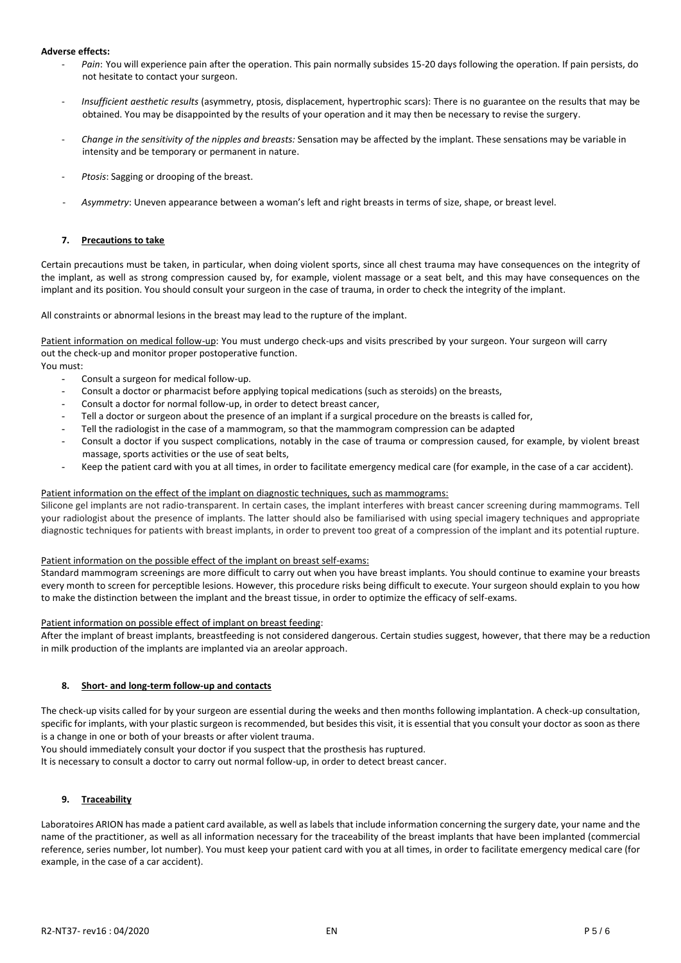## **Adverse effects:**

- Pain: You will experience pain after the operation. This pain normally subsides 15-20 days following the operation. If pain persists, do not hesitate to contact your surgeon.
- *Insufficient aesthetic results* (asymmetry, ptosis, displacement, hypertrophic scars): There is no guarantee on the results that may be obtained. You may be disappointed by the results of your operation and it may then be necessary to revise the surgery.
- *Change in the sensitivity of the nipples and breasts:* Sensation may be affected by the implant. These sensations may be variable in intensity and be temporary or permanent in nature.
- *Ptosis*: Sagging or drooping of the breast.
- *Asymmetry*: Uneven appearance between a woman's left and right breasts in terms of size, shape, or breast level.

# **7. Precautions to take**

Certain precautions must be taken, in particular, when doing violent sports, since all chest trauma may have consequences on the integrity of the implant, as well as strong compression caused by, for example, violent massage or a seat belt, and this may have consequences on the implant and its position. You should consult your surgeon in the case of trauma, in order to check the integrity of the implant.

All constraints or abnormal lesions in the breast may lead to the rupture of the implant.

Patient information on medical follow-up: You must undergo check-ups and visits prescribed by your surgeon. Your surgeon will carry out the check-up and monitor proper postoperative function.

You must:

- Consult a surgeon for medical follow-up.
- Consult a doctor or pharmacist before applying topical medications (such as steroids) on the breasts,
- Consult a doctor for normal follow-up, in order to detect breast cancer,
- Tell a doctor or surgeon about the presence of an implant if a surgical procedure on the breasts is called for,
- Tell the radiologist in the case of a mammogram, so that the mammogram compression can be adapted
- Consult a doctor if you suspect complications, notably in the case of trauma or compression caused, for example, by violent breast massage, sports activities or the use of seat belts,
- Keep the patient card with you at all times, in order to facilitate emergency medical care (for example, in the case of a car accident).

## Patient information on the effect of the implant on diagnostic techniques, such as mammograms:

Silicone gel implants are not radio-transparent. In certain cases, the implant interferes with breast cancer screening during mammograms. Tell your radiologist about the presence of implants. The latter should also be familiarised with using special imagery techniques and appropriate diagnostic techniques for patients with breast implants, in order to prevent too great of a compression of the implant and its potential rupture.

#### Patient information on the possible effect of the implant on breast self-exams:

Standard mammogram screenings are more difficult to carry out when you have breast implants. You should continue to examine your breasts every month to screen for perceptible lesions. However, this procedure risks being difficult to execute. Your surgeon should explain to you how to make the distinction between the implant and the breast tissue, in order to optimize the efficacy of self-exams.

#### Patient information on possible effect of implant on breast feeding:

After the implant of breast implants, breastfeeding is not considered dangerous. Certain studies suggest, however, that there may be a reduction in milk production of the implants are implanted via an areolar approach.

## **8. Short- and long-term follow-up and contacts**

The check-up visits called for by your surgeon are essential during the weeks and then months following implantation. A check-up consultation, specific for implants, with your plastic surgeon is recommended, but besides this visit, it is essential that you consult your doctor as soon as there is a change in one or both of your breasts or after violent trauma.

You should immediately consult your doctor if you suspect that the prosthesis has ruptured.

It is necessary to consult a doctor to carry out normal follow-up, in order to detect breast cancer.

# **9. Traceability**

Laboratoires ARION has made a patient card available, as well as labels that include information concerning the surgery date, your name and the name of the practitioner, as well as all information necessary for the traceability of the breast implants that have been implanted (commercial reference, series number, lot number). You must keep your patient card with you at all times, in order to facilitate emergency medical care (for example, in the case of a car accident).